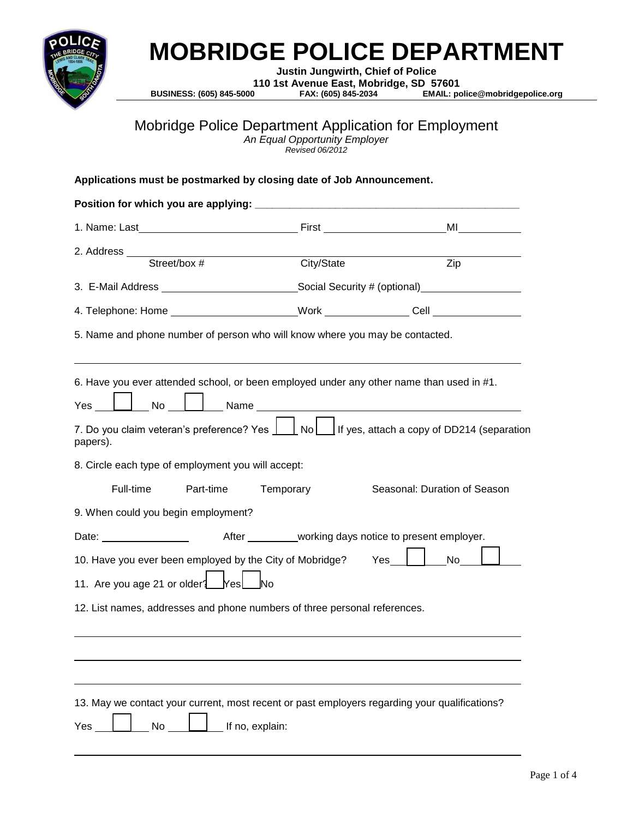

## **MOBRIDGE POLICE DEPARTMENT**

**Justin Jungwirth, Chief of Police**

**110 1st Avenue East, Mobridge, SD 57601<br>BUSINESS: (605) 845-5000 FAX: (605) 845-2034 EMAIL: po BUSINESS: (605) 845-5000 FAX: (605) 845-2034 EMAIL: police@mobridgepolice.org**

## Mobridge Police Department Application for Employment

*An Equal Opportunity Employer Revised 06/2012*

| Applications must be postmarked by closing date of Job Announcement.                                                                                                                                       |            |                              |
|------------------------------------------------------------------------------------------------------------------------------------------------------------------------------------------------------------|------------|------------------------------|
|                                                                                                                                                                                                            |            |                              |
|                                                                                                                                                                                                            |            |                              |
| 2. Address                                                                                                                                                                                                 |            |                              |
| Street/box #                                                                                                                                                                                               | City/State | Zip                          |
|                                                                                                                                                                                                            |            |                              |
| 4. Telephone: Home _________________________Work _______________Cell ___________                                                                                                                           |            |                              |
| 5. Name and phone number of person who will know where you may be contacted.                                                                                                                               |            |                              |
| 6. Have you ever attended school, or been employed under any other name than used in #1.<br>No   Name Name Name New York No   No   No   Name Name New York New York New York New York New York New York Ne |            |                              |
| 7. Do you claim veteran's preference? Yes $\boxed{\phantom{a}}$ No $\boxed{\phantom{a}}$ If yes, attach a copy of DD214 (separation<br>papers).                                                            |            |                              |
| 8. Circle each type of employment you will accept:                                                                                                                                                         |            |                              |
| Full-time<br>Part-time                                                                                                                                                                                     | Temporary  | Seasonal: Duration of Season |
| 9. When could you begin employment?                                                                                                                                                                        |            |                              |
|                                                                                                                                                                                                            |            |                              |
| 10. Have you ever been employed by the City of Mobridge? Yes                                                                                                                                               |            | <b>No</b>                    |
| 11. Are you age 21 or older <b>Nes</b><br><b>No</b>                                                                                                                                                        |            |                              |
| 12. List names, addresses and phone numbers of three personal references.                                                                                                                                  |            |                              |
|                                                                                                                                                                                                            |            |                              |
|                                                                                                                                                                                                            |            |                              |
| 13. May we contact your current, most recent or past employers regarding your qualifications?<br>If no, explain:<br><b>No</b><br>Yes                                                                       |            |                              |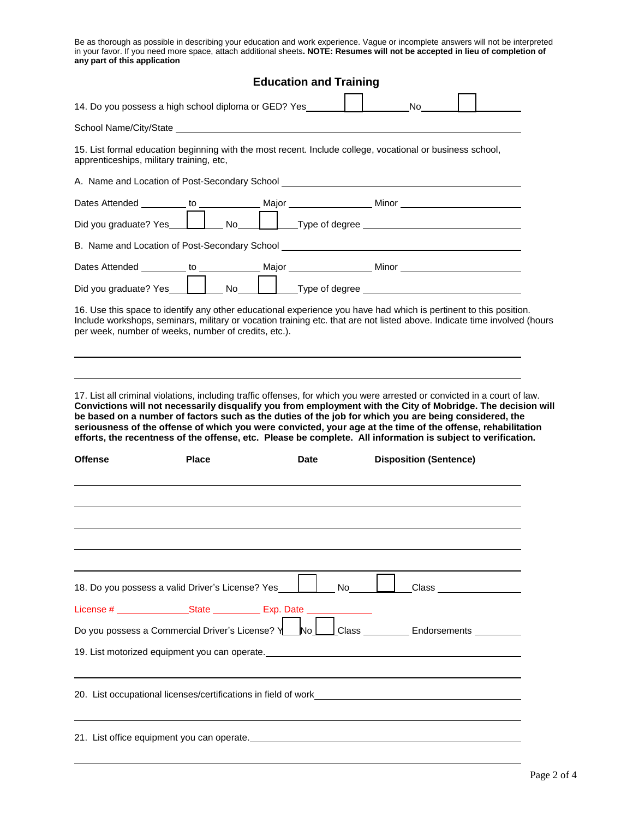Be as thorough as possible in describing your education and work experience. Vague or incomplete answers will not be interpreted in your favor. If you need more space, attach additional sheets**. NOTE: Resumes will not be accepted in lieu of completion of any part of this application**

| <b>Education and Training</b> |  |
|-------------------------------|--|
|                               |  |

|                                                                                                                                                                                                                                                                                                                                                                                                                                                                        |              | Education and Training |           |                                                                                                                 |  |
|------------------------------------------------------------------------------------------------------------------------------------------------------------------------------------------------------------------------------------------------------------------------------------------------------------------------------------------------------------------------------------------------------------------------------------------------------------------------|--------------|------------------------|-----------|-----------------------------------------------------------------------------------------------------------------|--|
| 14. Do you possess a high school diploma or GED? Yes_______                                                                                                                                                                                                                                                                                                                                                                                                            |              |                        |           | No the set of the set of the set of the set of the set of the set of the set of the set of the set of the set o |  |
| School Name/City/State Learning and Contract and Contract and Contract and Contract and Contract and Contract and Contract and Contract and Contract and Contract and Contract and Contract and Contract and Contract and Cont                                                                                                                                                                                                                                         |              |                        |           |                                                                                                                 |  |
| 15. List formal education beginning with the most recent. Include college, vocational or business school,<br>apprenticeships, military training, etc,                                                                                                                                                                                                                                                                                                                  |              |                        |           |                                                                                                                 |  |
| A. Name and Location of Post-Secondary School Learner and Contract and Contract and Contract of Post-Secondary School Learner and Contract and Contract and Contract and Contract and Contract and Contract and Contract and C                                                                                                                                                                                                                                         |              |                        |           |                                                                                                                 |  |
|                                                                                                                                                                                                                                                                                                                                                                                                                                                                        |              |                        |           |                                                                                                                 |  |
|                                                                                                                                                                                                                                                                                                                                                                                                                                                                        |              |                        |           |                                                                                                                 |  |
| B. Name and Location of Post-Secondary School __________________________________                                                                                                                                                                                                                                                                                                                                                                                       |              |                        |           |                                                                                                                 |  |
| Dates Attended _________ to _______________ Major _____________________ Minor _______________________________                                                                                                                                                                                                                                                                                                                                                          |              |                        |           |                                                                                                                 |  |
|                                                                                                                                                                                                                                                                                                                                                                                                                                                                        |              |                        |           |                                                                                                                 |  |
| 16. Use this space to identify any other educational experience you have had which is pertinent to this position.<br>Include workshops, seminars, military or vocation training etc. that are not listed above. Indicate time involved (hours<br>per week, number of weeks, number of credits, etc.).                                                                                                                                                                  |              |                        |           |                                                                                                                 |  |
| Convictions will not necessarily disqualify you from employment with the City of Mobridge. The decision will<br>be based on a number of factors such as the duties of the job for which you are being considered, the<br>seriousness of the offense of which you were convicted, your age at the time of the offense, rehabilitation<br>efforts, the recentness of the offense, etc. Please be complete. All information is subject to verification.<br><b>Offense</b> | <b>Place</b> | Date                   |           | <b>Disposition (Sentence)</b>                                                                                   |  |
|                                                                                                                                                                                                                                                                                                                                                                                                                                                                        |              |                        |           |                                                                                                                 |  |
| 18. Do you possess a valid Driver's License? Yes_                                                                                                                                                                                                                                                                                                                                                                                                                      |              |                        | <b>No</b> |                                                                                                                 |  |
|                                                                                                                                                                                                                                                                                                                                                                                                                                                                        |              |                        |           |                                                                                                                 |  |
| Do you possess a Commercial Driver's License? $\sqrt{\frac{N_0}{N_0}}$ Class ________ Endorsements ________                                                                                                                                                                                                                                                                                                                                                            |              |                        |           |                                                                                                                 |  |
| 19. List motorized equipment you can operate. __________________________________                                                                                                                                                                                                                                                                                                                                                                                       |              |                        |           |                                                                                                                 |  |
|                                                                                                                                                                                                                                                                                                                                                                                                                                                                        |              |                        |           |                                                                                                                 |  |
| 21. List office equipment you can operate.                                                                                                                                                                                                                                                                                                                                                                                                                             |              |                        |           |                                                                                                                 |  |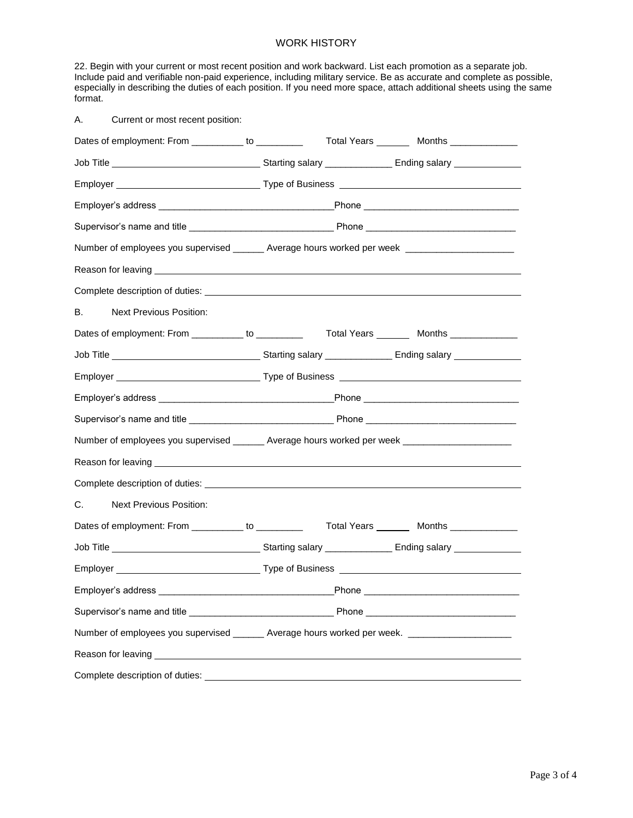## WORK HISTORY

22. Begin with your current or most recent position and work backward. List each promotion as a separate job. Include paid and verifiable non-paid experience, including military service. Be as accurate and complete as possible, especially in describing the duties of each position. If you need more space, attach additional sheets using the same format.

| Current or most recent position:<br>А.                                                                                                                                                                                             |  |  |
|------------------------------------------------------------------------------------------------------------------------------------------------------------------------------------------------------------------------------------|--|--|
| Dates of employment: From ___________ to ____________  Total Years ___________Months ______________                                                                                                                                |  |  |
|                                                                                                                                                                                                                                    |  |  |
|                                                                                                                                                                                                                                    |  |  |
|                                                                                                                                                                                                                                    |  |  |
|                                                                                                                                                                                                                                    |  |  |
| Number of employees you supervised _______ Average hours worked per week __________________                                                                                                                                        |  |  |
|                                                                                                                                                                                                                                    |  |  |
|                                                                                                                                                                                                                                    |  |  |
| <b>Next Previous Position:</b><br>В.                                                                                                                                                                                               |  |  |
| Dates of employment: From ___________ to ___________  Total Years ___________Months _______________                                                                                                                                |  |  |
|                                                                                                                                                                                                                                    |  |  |
| Employer <b>Employer Contract Contract Contract Contract Contract Contract Contract Contract Contract Contract Contract Contract Contract Contract Contract Contract Contract Contract Contract Contract Contract Contract Con</b> |  |  |
|                                                                                                                                                                                                                                    |  |  |
|                                                                                                                                                                                                                                    |  |  |
| Number of employees you supervised ______ Average hours worked per week _____________________                                                                                                                                      |  |  |
|                                                                                                                                                                                                                                    |  |  |
|                                                                                                                                                                                                                                    |  |  |
| C.<br><b>Next Previous Position:</b>                                                                                                                                                                                               |  |  |
| Dates of employment: From ___________ to ___________  Total Years _______ Months _____________                                                                                                                                     |  |  |
|                                                                                                                                                                                                                                    |  |  |
|                                                                                                                                                                                                                                    |  |  |
|                                                                                                                                                                                                                                    |  |  |
|                                                                                                                                                                                                                                    |  |  |
| Number of employees you supervised _______ Average hours worked per week. _________________________                                                                                                                                |  |  |
|                                                                                                                                                                                                                                    |  |  |
|                                                                                                                                                                                                                                    |  |  |